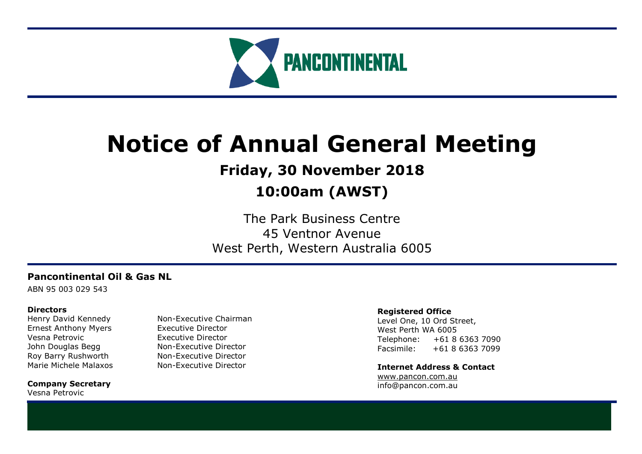

# **Notice of Annual General Meeting**

# **Friday, 30 November 2018**

# **10:00am (AWST)**

The Park Business Centre 45 Ventnor Avenue West Perth, Western Australia 6005

# **Pancontinental Oil & Gas NL**

ABN 95 003 029 543

# **Directors**

Ernest Anthony Myers Executive Director Vesna Petrovic Executive Director

**Company Secretary** Vesna Petrovic

Henry David Kennedy Non-Executive Chairman John Douglas Begg Non-Executive Director Roy Barry Rushworth Non-Executive Director Marie Michele Malaxos Non-Executive Director

### **Registered Office**

Level One, 10 Ord Street, West Perth WA 6005 Telephone: +61 8 6363 7090 Facsimile: +61 8 6363 7099

**Internet Address & Contact** [www.pancon.com.au](http://www.pancon.com.au/) info@pancon.com.au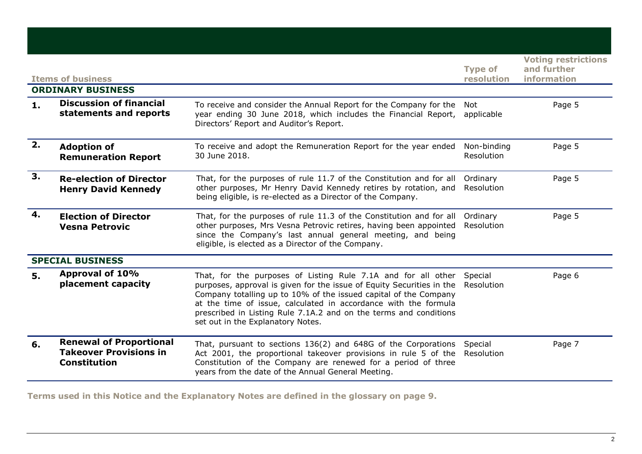|    | <b>Items of business</b><br><b>ORDINARY BUSINESS</b>                                   |                                                                                                                                                                                                                                                                                                                                                                                                 | <b>Type of</b><br>resolution | <b>Voting restrictions</b><br>and further<br>information |
|----|----------------------------------------------------------------------------------------|-------------------------------------------------------------------------------------------------------------------------------------------------------------------------------------------------------------------------------------------------------------------------------------------------------------------------------------------------------------------------------------------------|------------------------------|----------------------------------------------------------|
| 1. | <b>Discussion of financial</b><br>statements and reports                               | To receive and consider the Annual Report for the Company for the<br>year ending 30 June 2018, which includes the Financial Report,<br>Directors' Report and Auditor's Report.                                                                                                                                                                                                                  | Not<br>applicable            | Page 5                                                   |
| 2. | <b>Adoption of</b><br><b>Remuneration Report</b>                                       | To receive and adopt the Remuneration Report for the year ended<br>30 June 2018.                                                                                                                                                                                                                                                                                                                | Non-binding<br>Resolution    | Page 5                                                   |
| 3. | <b>Re-election of Director</b><br><b>Henry David Kennedy</b>                           | That, for the purposes of rule 11.7 of the Constitution and for all<br>other purposes, Mr Henry David Kennedy retires by rotation, and<br>being eligible, is re-elected as a Director of the Company.                                                                                                                                                                                           | Ordinary<br>Resolution       | Page 5                                                   |
| 4. | <b>Election of Director</b><br><b>Vesna Petrovic</b>                                   | That, for the purposes of rule 11.3 of the Constitution and for all<br>other purposes, Mrs Vesna Petrovic retires, having been appointed<br>since the Company's last annual general meeting, and being<br>eligible, is elected as a Director of the Company.                                                                                                                                    | Ordinary<br>Resolution       | Page 5                                                   |
|    | <b>SPECIAL BUSINESS</b>                                                                |                                                                                                                                                                                                                                                                                                                                                                                                 |                              |                                                          |
| 5. | <b>Approval of 10%</b><br>placement capacity                                           | That, for the purposes of Listing Rule 7.1A and for all other Special<br>purposes, approval is given for the issue of Equity Securities in the<br>Company totalling up to 10% of the issued capital of the Company<br>at the time of issue, calculated in accordance with the formula<br>prescribed in Listing Rule 7.1A.2 and on the terms and conditions<br>set out in the Explanatory Notes. | Resolution                   | Page 6                                                   |
| 6. | <b>Renewal of Proportional</b><br><b>Takeover Provisions in</b><br><b>Constitution</b> | That, pursuant to sections 136(2) and 648G of the Corporations<br>Act 2001, the proportional takeover provisions in rule 5 of the<br>Constitution of the Company are renewed for a period of three<br>years from the date of the Annual General Meeting.                                                                                                                                        | Special<br>Resolution        | Page 7                                                   |

**Terms used in this Notice and the Explanatory Notes are defined in the glossary on page 9.**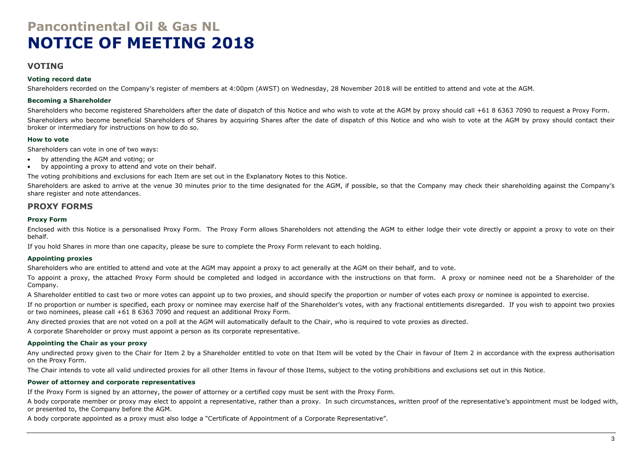# **Pancontinental Oil & Gas NL NOTICE OF MEETING 2018**

### **VOTING**

#### **Voting record date**

Shareholders recorded on the Company's register of members at 4:00pm (AWST) on Wednesday, 28 November 2018 will be entitled to attend and vote at the AGM.

#### **Becoming a Shareholder**

Shareholders who become registered Shareholders after the date of dispatch of this Notice and who wish to vote at the AGM by proxy should call +61 8 6363 7090 to request a Proxy Form. Shareholders who become beneficial Shareholders of Shares by acquiring Shares after the date of dispatch of this Notice and who wish to vote at the AGM by proxy should contact their broker or intermediary for instructions on how to do so.

#### **How to vote**

Shareholders can vote in one of two ways:

- by attending the AGM and voting; or
- by appointing a proxy to attend and vote on their behalf.

The voting prohibitions and exclusions for each Item are set out in the Explanatory Notes to this Notice.

Shareholders are asked to arrive at the venue 30 minutes prior to the time designated for the AGM, if possible, so that the Company may check their shareholding against the Company's share register and note attendances.

### **PROXY FORMS**

#### **Proxy Form**

Enclosed with this Notice is a personalised Proxy Form. The Proxy Form allows Shareholders not attending the AGM to either lodge their vote directly or appoint a proxy to vote on their behalf.

If you hold Shares in more than one capacity, please be sure to complete the Proxy Form relevant to each holding.

#### **Appointing proxies**

Shareholders who are entitled to attend and vote at the AGM may appoint a proxy to act generally at the AGM on their behalf, and to vote.

To appoint a proxy, the attached Proxy Form should be completed and lodged in accordance with the instructions on that form. A proxy or nominee need not be a Shareholder of the Company.

A Shareholder entitled to cast two or more votes can appoint up to two proxies, and should specify the proportion or number of votes each proxy or nominee is appointed to exercise.

If no proportion or number is specified, each proxy or nominee may exercise half of the Shareholder's votes, with any fractional entitlements disregarded. If you wish to appoint two proxies or two nominees, please call +61 8 6363 7090 and request an additional Proxy Form.

Any directed proxies that are not voted on a poll at the AGM will automatically default to the Chair, who is required to vote proxies as directed.

A corporate Shareholder or proxy must appoint a person as its corporate representative.

#### **Appointing the Chair as your proxy**

Any undirected proxy given to the Chair for Item 2 by a Shareholder entitled to vote on that Item will be voted by the Chair in favour of Item 2 in accordance with the express authorisation on the Proxy Form.

The Chair intends to vote all valid undirected proxies for all other Items in favour of those Items, subject to the voting prohibitions and exclusions set out in this Notice.

#### **Power of attorney and corporate representatives**

If the Proxy Form is signed by an attorney, the power of attorney or a certified copy must be sent with the Proxy Form.

A body corporate member or proxy may elect to appoint a representative, rather than a proxy. In such circumstances, written proof of the representative's appointment must be lodged with, or presented to, the Company before the AGM.

A body corporate appointed as a proxy must also lodge a "Certificate of Appointment of a Corporate Representative".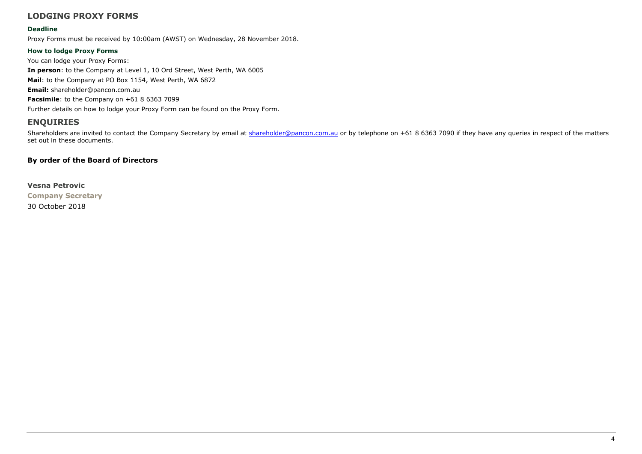# **LODGING PROXY FORMS**

#### **Deadline**

Proxy Forms must be received by 10:00am (AWST) on Wednesday, 28 November 2018.

#### **How to lodge Proxy Forms**

You can lodge your Proxy Forms: **In person**: to the Company at Level 1, 10 Ord Street, West Perth, WA 6005 **Mail**: to the Company at PO Box 1154, West Perth, WA 6872 **Email:** shareholder@pancon.com.au **Facsimile**: to the Company on +61 8 6363 7099 Further details on how to lodge your Proxy Form can be found on the Proxy Form.

# **ENQUIRIES**

Shareholders are invited to contact the Company Secretary by email at [shareholder@pancon.com.au](mailto:shareholder@pancon.com.au) or by telephone on +61 8 6363 7090 if they have any queries in respect of the matters set out in these documents.

### **By order of the Board of Directors**

**Vesna Petrovic Company Secretary** 30 October 2018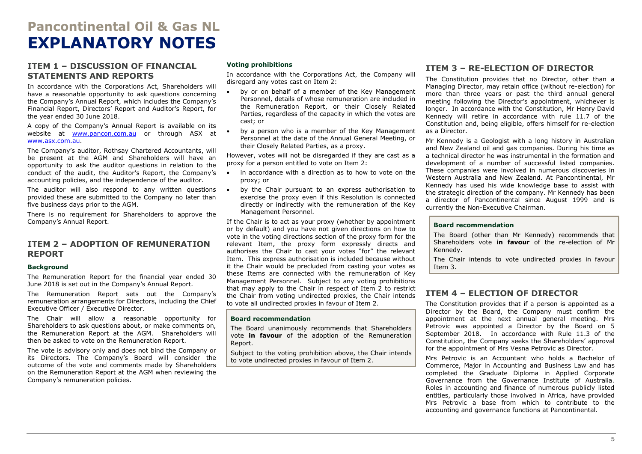# **Pancontinental Oil & Gas NL EXPLANATORY NOTES**

### <span id="page-4-0"></span>**ITEM 1 – DISCUSSION OF FINANCIAL STATEMENTS AND REPORTS**

In accordance with the Corporations Act, Shareholders will have a reasonable opportunity to ask questions concerning the Company's Annual Report, which includes the Company's Financial Report, Directors' Report and Auditor's Report, for the year ended 30 June 2018.

A copy of the Company's Annual Report is available on its website at [www.pancon.com.au](http://www.pancon.com.au/) or through ASX at [www.asx.com.au.](http://www.asx.com.au/)

The Company's auditor, Rothsay Chartered Accountants, will be present at the AGM and Shareholders will have an opportunity to ask the auditor questions in relation to the conduct of the audit, the Auditor's Report, the Company's accounting policies, and the independence of the auditor.

The auditor will also respond to any written questions . provided these are submitted to the Company no later than five business days prior to the AGM.

There is no requirement for Shareholders to approve the Company's Annual Report.

### <span id="page-4-1"></span>**ITEM 2 – ADOPTION OF REMUNERATION REPORT**

#### **Background**

The Remuneration Report for the financial year ended 30 June 2018 is set out in the Company's Annual Report.

The Remuneration Report sets out the Company's remuneration arrangements for Directors, including the Chief Executive Officer / Executive Director.

The Chair will allow a reasonable opportunity for Shareholders to ask questions about, or make comments on, the Remuneration Report at the AGM. Shareholders will then be asked to vote on the Remuneration Report.

The vote is advisory only and does not bind the Company or its Directors. The Company's Board will consider the outcome of the vote and comments made by Shareholders on the Remuneration Report at the AGM when reviewing the Company's remuneration policies.

#### **Voting prohibitions**

In accordance with the Corporations Act, the Company will disregard any votes cast on Item 2:

- by or on behalf of a member of the Key Management Personnel, details of whose remuneration are included in the Remuneration Report, or their Closely Related Parties, regardless of the capacity in which the votes are cast; or
- by a person who is a member of the Key Management Personnel at the date of the Annual General Meeting, or their Closely Related Parties, as a proxy.

However, votes will not be disregarded if they are cast as a proxy for a person entitled to vote on Item 2:

- in accordance with a direction as to how to vote on the proxy; or
- by the Chair pursuant to an express authorisation to exercise the proxy even if this Resolution is connected directly or indirectly with the remuneration of the Key Management Personnel.

If the Chair is to act as your proxy (whether by appointment or by default) and you have not given directions on how to vote in the voting directions section of the proxy form for the relevant Item, the proxy form expressly directs and authorises the Chair to cast your votes "for" the relevant Item. This express authorisation is included because without it the Chair would be precluded from casting your votes as these Items are connected with the remuneration of Key Management Personnel. Subject to any voting prohibitions that may apply to the Chair in respect of Item 2 to restrict the Chair from voting undirected proxies, the Chair intends to vote all undirected proxies in favour of Item 2.

#### **Board recommendation**

The Board unanimously recommends that Shareholders vote **in favour** of the adoption of the Remuneration Report.

Subject to the voting prohibition above, the Chair intends to vote undirected proxies in favour of Item 2.

# <span id="page-4-2"></span>**ITEM 3 – RE-ELECTION OF DIRECTOR**

The Constitution provides that no Director, other than a Managing Director, may retain office (without re-election) for more than three years or past the third annual general meeting following the Director's appointment, whichever is longer. In accordance with the Constitution, Mr Henry David Kennedy will retire in accordance with rule 11.7 of the Constitution and, being eligible, offers himself for re-election as a Director.

Mr Kennedy is a Geologist with a long history in Australian and New Zealand oil and gas companies. During his time as a technical director he was instrumental in the formation and development of a number of successful listed companies. These companies were involved in numerous discoveries in Western Australia and New Zealand. At Pancontinental, Mr Kennedy has used his wide knowledge base to assist with the strategic direction of the company. Mr Kennedy has been a director of Pancontinental since August 1999 and is currently the Non-Executive Chairman.

#### **Board recommendation**

The Board (other than Mr Kennedy) recommends that Shareholders vote **in favour** of the re-election of Mr Kennedy.

The Chair intends to vote undirected proxies in favour Item 3.

### **ITEM 4 – ELECTION OF DIRECTOR**

The Constitution provides that if a person is appointed as a Director by the Board, the Company must confirm the appointment at the next annual general meeting. Mrs Petrovic was appointed a Director by the Board on 5 September 2018. In accordance with Rule 11.3 of the Constitution, the Company seeks the Shareholders' approval for the appointment of Mrs Vesna Petrovic as Director.

Mrs Petrovic is an Accountant who holds a Bachelor of Commerce, Major in Accounting and Business Law and has completed the Graduate Diploma in Applied Corporate Governance from the Governance Institute of Australia. Roles in accounting and finance of numerous publicly listed entities, particularly those involved in Africa, have provided Mrs Petrovic a base from which to contribute to the accounting and governance functions at Pancontinental.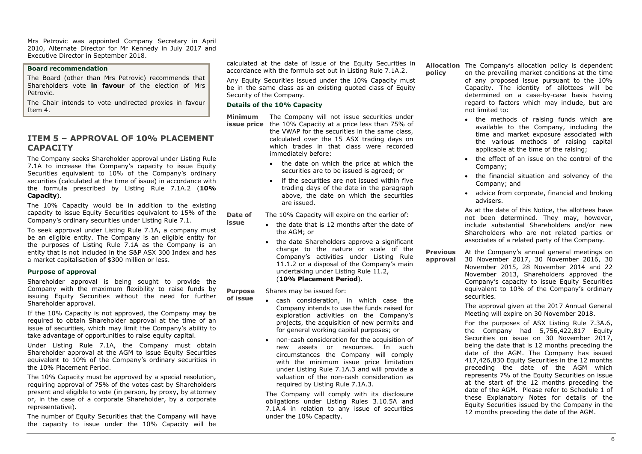Mrs Petrovic was appointed Company Secretary in April 2010, Alternate Director for Mr Kennedy in July 2017 and Executive Director in September 2018.

#### **Board recommendation**

The Board (other than Mrs Petrovic) recommends that Shareholders vote **in favour** of the election of Mrs Petrovic.

The Chair intends to vote undirected proxies in favour Item 4.

# **ITEM 5 – APPROVAL OF 10% PLACEMENT CAPACITY**

The Company seeks Shareholder approval under Listing Rule 7.1A to increase the Company's capacity to issue Equity Securities equivalent to 10% of the Company's ordinary securities (calculated at the time of issue) in accordance with the formula prescribed by Listing Rule 7.1A.2 (**10% Capacity**).

The 10% Capacity would be in addition to the existing capacity to issue Equity Securities equivalent to 15% of the Company's ordinary securities under Listing Rule 7.1.

To seek approval under Listing Rule 7.1A, a company must be an eligible entity. The Company is an eligible entity for the purposes of Listing Rule 7.1A as the Company is an entity that is not included in the S&P ASX 300 Index and has a market capitalisation of \$300 million or less.

#### **Purpose of approval**

Shareholder approval is being sought to provide the Company with the maximum flexibility to raise funds by issuing Equity Securities without the need for further Shareholder approval.

If the 10% Capacity is not approved, the Company may be required to obtain Shareholder approval at the time of an issue of securities, which may limit the Company's ability to take advantage of opportunities to raise equity capital.

Under Listing Rule 7.1A, the Company must obtain Shareholder approval at the AGM to issue Equity Securities equivalent to 10% of the Company's ordinary securities in the 10% Placement Period.

The 10% Capacity must be approved by a special resolution, requiring approval of 75% of the votes cast by Shareholders present and eligible to vote (in person, by proxy, by attorney or, in the case of a corporate Shareholder, by a corporate representative).

The number of Equity Securities that the Company will have the capacity to issue under the 10% Capacity will be calculated at the date of issue of the Equity Securities in accordance with the formula set out in Listing Rule 7.1A.2.

Any Equity Securities issued under the 10% Capacity must be in the same class as an existing quoted class of Equity Security of the Company.

#### **Details of the 10% Capacity**

**issue**

**Minimum** The Company will not issue securities under **issue price** the 10% Capacity at a price less than 75% of

the VWAP for the securities in the same class, calculated over the 15 ASX trading days on which trades in that class were recorded immediately before:

- the date on which the price at which the securities are to be issued is agreed; or
- if the securities are not issued within five trading days of the date in the paragraph above, the date on which the securities are issued.

**Date of**  The 10% Capacity will expire on the earlier of:

- the date that is 12 months after the date of the AGM; or
	- the date Shareholders approve a significant change to the nature or scale of the Company's activities under Listing Rule 11.1.2 or a disposal of the Company's main undertaking under Listing Rule 11.2, (**10% Placement Period**).

**Purpose**  Shares may be issued for:

- **of issue** • cash consideration, in which case the Company intends to use the funds raised for exploration activities on the Company's projects, the acquisition of new permits and for general working capital purposes; or
	- non-cash consideration for the acquisition of new assets or resources. In such circumstances the Company will comply with the minimum issue price limitation under Listing Rule 7.1A.3 and will provide a valuation of the non-cash consideration as required by Listing Rule 7.1A.3.

The Company will comply with its disclosure obligations under Listing Rules 3.10.5A and 7.1A.4 in relation to any issue of securities under the 10% Capacity.

**Allocation**  The Company's allocation policy is dependent **policy** on the prevailing market conditions at the time of any proposed issue pursuant to the 10% Capacity. The identity of allottees will be determined on a case-by-case basis having regard to factors which may include, but are not limited to:

- the methods of raising funds which are available to the Company, including the time and market exposure associated with the various methods of raising capital applicable at the time of the raising;
- the effect of an issue on the control of the Company;
- the financial situation and solvency of the Company; and
- advice from corporate, financial and broking advisers.

As at the date of this Notice, the allottees have not been determined. They may, however, include substantial Shareholders and/or new Shareholders who are not related parties or associates of a related party of the Company.

**Previous approval** At the Company's annual general meetings on 30 November 2017, 30 November 2016, 30 November 2015, 28 November 2014 and 22 November 2013, Shareholders approved the Company's capacity to issue Equity Securities equivalent to 10% of the Company's ordinary securities.

> The approval given at the 2017 Annual General Meeting will expire on 30 November 2018.

> For the purposes of ASX Listing Rule 7.3A.6, the Company had 5,756,422,817 Equity Securities on issue on 30 November 2017, being the date that is 12 months preceding the date of the AGM. The Company has issued 417,426,830 Equity Securities in the 12 months preceding the date of the AGM which represents 7% of the Equity Securities on issue at the start of the 12 months preceding the date of the AGM. Please refer to Schedule 1 of these Explanatory Notes for details of the Equity Securities issued by the Company in the 12 months preceding the date of the AGM.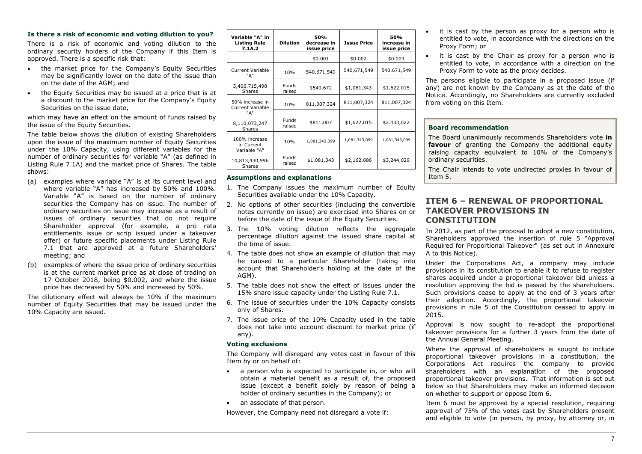#### **Is there a risk of economic and voting dilution to you?**

There is a risk of economic and voting dilution to the ordinary security holders of the Company if this Item is approved. There is a specific risk that:

- the market price for the Company's Equity Securities may be significantly lower on the date of the issue than on the date of the AGM; and
- the Equity Securities may be issued at a price that is at a discount to the market price for the Company's Equity Securities on the issue date,

which may have an effect on the amount of funds raised by the issue of the Equity Securities.

The table below shows the dilution of existing Shareholders upon the issue of the maximum number of Equity Securities under the 10% Capacity, using different variables for the number of ordinary securities for variable "A" (as defined in Listing Rule 7.1A) and the market price of Shares. The table shows:

- (a) examples where variable "A" is at its current level and where variable "A" has increased by 50% and 100%. Variable "A" is based on the number of ordinary securities the Company has on issue. The number of ordinary securities on issue may increase as a result of issues of ordinary securities that do not require Shareholder approval (for example, a pro rata entitlements issue or scrip issued under a takeover offer) or future specific placements under Listing Rule 7.1 that are approved at a future Shareholders' meeting; and
- (b) examples of where the issue price of ordinary securities is at the current market price as at close of trading on 17 October 2018, being \$0.002, and where the issue price has decreased by 50% and increased by 50%.

The dilutionary effect will always be 10% if the maximum number of Equity Securities that may be issued under the 10% Capacity are issued.

| Variable "A" in<br><b>Listing Rule</b><br>7.1A.2 | <b>Dilution</b>        | 50%<br>decrease in<br>issue price | <b>Issue Price</b> | 50%<br>increase in<br>issue price |
|--------------------------------------------------|------------------------|-----------------------------------|--------------------|-----------------------------------|
|                                                  |                        | \$0.001                           | \$0.002            | \$0.003                           |
| <b>Current Variable</b><br>"А"                   | 10%                    | 540,671,549                       | 540,671,549        | 540,671,549                       |
| 5,406,715,498<br><b>Shares</b>                   | <b>Funds</b><br>raised | \$540,672                         | \$1,081,343        | \$1,622,015                       |
| 50% increase in<br><b>Current Variable</b>       | 10%                    | 811,007,324                       | 811,007,324        | 811,007,324                       |
| "А"<br>8,110,073,247<br>Shares                   | Funds<br>raised        | \$811,007                         | \$1,622,015        | \$2.433,022                       |
| 100% increase<br>in Current                      | 10%                    | 1,081,343,099                     | 1,081,343,099      | 1,081,343,099                     |
| Variable "A"<br>10,813,430,996<br>Shares         | <b>Funds</b><br>raised | \$1,081,343                       | \$2,162,686        | \$3,244,029                       |

#### **Assumptions and explanations**

- 1. The Company issues the maximum number of Equity Securities available under the 10% Capacity.
- 2. No options of other securities (including the convertible notes currently on issue) are exercised into Shares on or before the date of the issue of the Equity Securities.
- 3. The 10% voting dilution reflects the aggregate percentage dilution against the issued share capital at the time of issue.
- 4. The table does not show an example of dilution that may be caused to a particular Shareholder (taking into account that Shareholder's holding at the date of the AGM).
- 5. The table does not show the effect of issues under the 15% share issue capacity under the Listing Rule 7.1.
- 6. The issue of securities under the 10% Capacity consists only of Shares.
- 7. The issue price of the 10% Capacity used in the table does not take into account discount to market price (if any).

#### **Voting exclusions**

The Company will disregard any votes cast in favour of this Item by or on behalf of:

- a person who is expected to participate in, or who will obtain a material benefit as a result of, the proposed issue (except a benefit solely by reason of being a holder of ordinary securities in the Company); or
- an associate of that person.

However, the Company need not disregard a vote if:

- it is cast by the person as proxy for a person who is entitled to vote, in accordance with the directions on the Proxy Form; or
- it is cast by the Chair as proxy for a person who is entitled to vote, in accordance with a direction on the Proxy Form to vote as the proxy decides.

The persons eligible to participate in a proposed issue (if any) are not known by the Company as at the date of the Notice. Accordingly, no Shareholders are currently excluded from voting on this Item.

#### **Board recommendation**

The Board unanimously recommends Shareholders vote **in favour** of granting the Company the additional equity raising capacity equivalent to 10% of the Company's ordinary securities.

The Chair intends to vote undirected proxies in favour of Item 5.

### **ITEM 6 – RENEWAL OF PROPORTIONAL TAKEOVER PROVISIONS IN CONSTITUTION**

In 2012, as part of the proposal to adopt a new constitution, Shareholders approved the insertion of rule 5 "Approval Required for Proportional Takeover" (as set out in Annexure A to this Notice).

Under the Corporations Act, a company may include provisions in its constitution to enable it to refuse to register shares acquired under a proportional takeover bid unless a resolution approving the bid is passed by the shareholders. Such provisions cease to apply at the end of 3 years after their adoption. Accordingly, the proportional takeover provisions in rule 5 of the Constitution ceased to apply in 2015.

Approval is now sought to re-adopt the proportional takeover provisions for a further 3 years from the date of the Annual General Meeting.

Where the approval of shareholders is sought to include proportional takeover provisions in a constitution, the Corporations Act requires the company to provide shareholders with an explanation of the proposed proportional takeover provisions. That information is set out below so that Shareholders may make an informed decision on whether to support or oppose Item 6.

Item 6 must be approved by a special resolution, requiring approval of 75% of the votes cast by Shareholders present and eligible to vote (in person, by proxy, by attorney or, in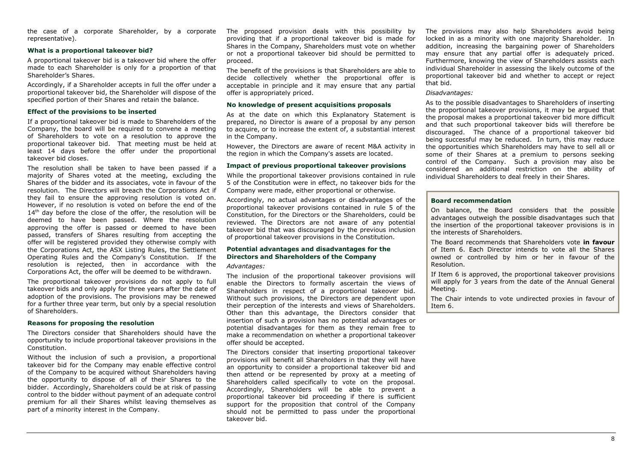the case of a corporate Shareholder, by a corporate representative).

#### **What is a proportional takeover bid?**

A proportional takeover bid is a takeover bid where the offer made to each Shareholder is only for a proportion of that Shareholder's Shares.

Accordingly, if a Shareholder accepts in full the offer under a proportional takeover bid, the Shareholder will dispose of the specified portion of their Shares and retain the balance.

#### **Effect of the provisions to be inserted**

If a proportional takeover bid is made to Shareholders of the Company, the board will be required to convene a meeting of Shareholders to vote on a resolution to approve the proportional takeover bid. That meeting must be held at least 14 days before the offer under the proportional takeover bid closes.

The resolution shall be taken to have been passed if a majority of Shares voted at the meeting, excluding the Shares of the bidder and its associates, vote in favour of the resolution. The Directors will breach the Corporations Act if they fail to ensure the approving resolution is voted on. However, if no resolution is voted on before the end of the 14<sup>th</sup> day before the close of the offer, the resolution will be deemed to have been passed. Where the resolution approving the offer is passed or deemed to have been passed, transfers of Shares resulting from accepting the offer will be registered provided they otherwise comply with the Corporations Act, the ASX Listing Rules, the Settlement Operating Rules and the Company's Constitution. If the resolution is rejected, then in accordance with the Corporations Act, the offer will be deemed to be withdrawn.

The proportional takeover provisions do not apply to full takeover bids and only apply for three years after the date of adoption of the provisions. The provisions may be renewed for a further three year term, but only by a special resolution of Shareholders.

#### **Reasons for proposing the resolution**

The Directors consider that Shareholders should have the opportunity to include proportional takeover provisions in the Constitution.

Without the inclusion of such a provision, a proportional takeover bid for the Company may enable effective control of the Company to be acquired without Shareholders having the opportunity to dispose of all of their Shares to the bidder. Accordingly, Shareholders could be at risk of passing control to the bidder without payment of an adequate control premium for all their Shares whilst leaving themselves as part of a minority interest in the Company.

The proposed provision deals with this possibility by providing that if a proportional takeover bid is made for Shares in the Company, Shareholders must vote on whether or not a proportional takeover bid should be permitted to proceed.

The benefit of the provisions is that Shareholders are able to decide collectively whether the proportional offer is acceptable in principle and it may ensure that any partial offer is appropriately priced.

#### **No knowledge of present acquisitions proposals**

As at the date on which this Explanatory Statement is prepared, no Director is aware of a proposal by any person to acquire, or to increase the extent of, a substantial interest in the Company.

However, the Directors are aware of recent M&A activity in the region in which the Company's assets are located.

#### **Impact of previous proportional takeover provisions**

While the proportional takeover provisions contained in rule 5 of the Constitution were in effect, no takeover bids for the Company were made, either proportional or otherwise.

Accordingly, no actual advantages or disadvantages of the proportional takeover provisions contained in rule 5 of the Constitution, for the Directors or the Shareholders, could be reviewed. The Directors are not aware of any potential takeover bid that was discouraged by the previous inclusion of proportional takeover provisions in the Constitution.

#### **Potential advantages and disadvantages for the Directors and Shareholders of the Company**

#### *Advantages:*

The inclusion of the proportional takeover provisions will enable the Directors to formally ascertain the views of Shareholders in respect of a proportional takeover bid. Without such provisions, the Directors are dependent upon their perception of the interests and views of Shareholders. Other than this advantage, the Directors consider that insertion of such a provision has no potential advantages or potential disadvantages for them as they remain free to make a recommendation on whether a proportional takeover offer should be accepted.

The Directors consider that inserting proportional takeover provisions will benefit all Shareholders in that they will have an opportunity to consider a proportional takeover bid and then attend or be represented by proxy at a meeting of Shareholders called specifically to vote on the proposal. Accordingly, Shareholders will be able to prevent a proportional takeover bid proceeding if there is sufficient support for the proposition that control of the Company should not be permitted to pass under the proportional takeover bid.

The provisions may also help Shareholders avoid being locked in as a minority with one majority Shareholder. In addition, increasing the bargaining power of Shareholders may ensure that any partial offer is adequately priced. Furthermore, knowing the view of Shareholders assists each individual Shareholder in assessing the likely outcome of the proportional takeover bid and whether to accept or reject that bid.

#### *Disadvantages:*

As to the possible disadvantages to Shareholders of inserting the proportional takeover provisions, it may be argued that the proposal makes a proportional takeover bid more difficult and that such proportional takeover bids will therefore be discouraged. The chance of a proportional takeover bid being successful may be reduced. In turn, this may reduce the opportunities which Shareholders may have to sell all or some of their Shares at a premium to persons seeking control of the Company. Such a provision may also be considered an additional restriction on the ability of individual Shareholders to deal freely in their Shares.

#### **Board recommendation**

On balance, the Board considers that the possible advantages outweigh the possible disadvantages such that the insertion of the proportional takeover provisions is in the interests of Shareholders.

The Board recommends that Shareholders vote **in favour** of Item 6. Each Director intends to vote all the Shares owned or controlled by him or her in favour of the Resolution.

If Item 6 is approved, the proportional takeover provisions will apply for 3 years from the date of the Annual General Meeting.

The Chair intends to vote undirected proxies in favour of Item 6.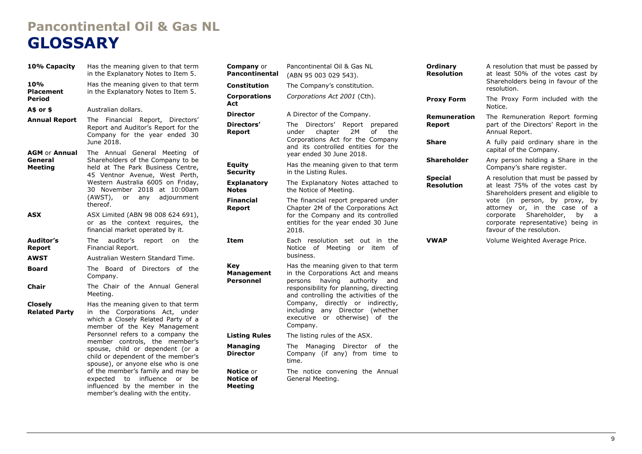# **Pancontinental Oil & Gas NL GLOSSARY**

| 10% Capacity                                      | Has the meaning given to that term<br>in the Explanatory Notes to Item 5.                                                                                                                                                                                                                                                                                                                                                                           |
|---------------------------------------------------|-----------------------------------------------------------------------------------------------------------------------------------------------------------------------------------------------------------------------------------------------------------------------------------------------------------------------------------------------------------------------------------------------------------------------------------------------------|
| 10%<br><b>Placement</b><br><b>Period</b>          | Has the meaning given to that term<br>in the Explanatory Notes to Item 5.                                                                                                                                                                                                                                                                                                                                                                           |
| A\$ or \$                                         | Australian dollars.                                                                                                                                                                                                                                                                                                                                                                                                                                 |
| <b>Annual Report</b>                              | The Financial Report, Directors'<br>Report and Auditor's Report for the<br>Company for the year ended 30<br>June 2018.                                                                                                                                                                                                                                                                                                                              |
| <b>AGM or Annual</b><br>General<br><b>Meeting</b> | The Annual General<br>Meeting of<br>Shareholders of the Company to be<br>held at The Park Business Centre,<br>45 Ventnor Avenue, West Perth,<br>Western Australia 6005 on Friday,<br>30 November 2018 at 10:00am<br>(AWST), or any adjournment<br>thereof.                                                                                                                                                                                          |
| ASX                                               | ASX Limited (ABN 98 008 624 691),<br>or as the context requires,<br>the<br>financial market operated by it.                                                                                                                                                                                                                                                                                                                                         |
| Auditor's<br>Report                               | The<br>auditor's<br>the<br>report<br>on<br>Financial Report.                                                                                                                                                                                                                                                                                                                                                                                        |
| <b>AWST</b>                                       | Australian Western Standard Time.                                                                                                                                                                                                                                                                                                                                                                                                                   |
| <b>Board</b>                                      | of Directors of<br>the<br>The Board<br>Company.                                                                                                                                                                                                                                                                                                                                                                                                     |
| Chair                                             | The Chair of the Annual General<br>Meeting.                                                                                                                                                                                                                                                                                                                                                                                                         |
| <b>Closely</b><br><b>Related Party</b>            | Has the meaning given to that term<br>in the Corporations Act, under<br>which a Closely Related Party of a<br>member of the Key Management<br>Personnel refers to a company the<br>member controls, the member's<br>spouse, child or dependent (or a<br>child or dependent of the member's<br>spouse), or anyone else who is one<br>of the member's family and may be<br>influence<br>expected<br>to<br>or<br>be<br>influenced by the member in the |

member's dealing with the entity.

| <b>Company</b> or<br><b>Pancontinental</b>             | Pancontinental Oil & Gas NL<br>(ABN 95 003 029 543).                                                                                                                                                                                                                                                                        |  |  |  |
|--------------------------------------------------------|-----------------------------------------------------------------------------------------------------------------------------------------------------------------------------------------------------------------------------------------------------------------------------------------------------------------------------|--|--|--|
| Constitution                                           | The Company's constitution.                                                                                                                                                                                                                                                                                                 |  |  |  |
| <b>Corporations</b><br>Act                             | Corporations Act 2001 (Cth).                                                                                                                                                                                                                                                                                                |  |  |  |
| <b>Director</b>                                        | A Director of the Company.                                                                                                                                                                                                                                                                                                  |  |  |  |
| Directors'<br>Report                                   | Directors' Report<br>The<br>prepared<br>2M<br>chapter<br>of<br>the<br>under<br>Corporations Act for the Company<br>and its controlled entities for the<br>vear ended 30 June 2018.                                                                                                                                          |  |  |  |
| <b>Equity</b><br><b>Security</b>                       | Has the meaning given to that term<br>in the Listing Rules.                                                                                                                                                                                                                                                                 |  |  |  |
| <b>Explanatory</b><br><b>Notes</b>                     | The Explanatory Notes attached to<br>the Notice of Meeting.                                                                                                                                                                                                                                                                 |  |  |  |
| <b>Financial</b><br>Report                             | The financial report prepared under<br>Chapter 2M of the Corporations Act<br>for the Company and its controlled<br>entities for the year ended 30 June<br>2018.                                                                                                                                                             |  |  |  |
| <b>Item</b>                                            | Each resolution set out in<br>the<br>Notice of<br>Meeting or item<br>of<br>business.                                                                                                                                                                                                                                        |  |  |  |
| <b>Key</b><br><b>Management</b><br>Personnel           | Has the meaning given to that term<br>in the Corporations Act and means<br>persons<br>having authority<br>and<br>responsibility for planning, directing<br>and controlling the activities of the<br>Company, directly or indirectly,<br>including any<br>Director (whether<br>executive or otherwise) of<br>the<br>Company. |  |  |  |
| <b>Listing Rules</b>                                   | The listing rules of the ASX.                                                                                                                                                                                                                                                                                               |  |  |  |
| <b>Managing</b><br><b>Director</b>                     | The<br>Managing<br>Director<br>of<br>the<br>Company (if any) from time to<br>time.                                                                                                                                                                                                                                          |  |  |  |
| <b>Notice</b> or<br><b>Notice of</b><br><b>Meeting</b> | The notice convening the Annual<br>General Meeting.                                                                                                                                                                                                                                                                         |  |  |  |

| Ordinary<br>Resolution              | A resolution that must be passed by<br>at least 50% of the votes cast by<br>Shareholders being in favour of the<br>resolution. |
|-------------------------------------|--------------------------------------------------------------------------------------------------------------------------------|
| <b>Proxy Form</b>                   | The Proxy Form included with the<br>Notice.                                                                                    |
| <b>Remuneration</b><br>Report       | The Remuneration Report forming<br>part of the Directors' Report in the<br>Annual Report.                                      |
| <b>Share</b>                        | A fully paid ordinary share in the<br>capital of the Company.                                                                  |
| Shareholder                         | Any person holding a Share in the<br>Company's share register.                                                                 |
| <b>Special</b><br><b>Resolution</b> | A resolution that must be passed by<br>at least 75% of the votes cast by<br>Shareholders present and eligible to               |
|                                     | vote (in person, by proxy, by<br>attorney or, in the case of a                                                                 |
|                                     | Shareholder,<br>corporate<br>by<br>a                                                                                           |
|                                     | corporate representative) being in<br>favour of the resolution.                                                                |
| VWAP                                | Volume Weighted Average Price.                                                                                                 |
|                                     |                                                                                                                                |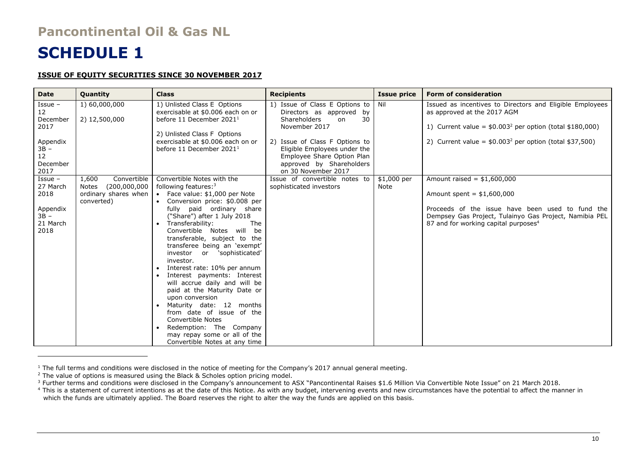# **Pancontinental Oil & Gas NL**

# **SCHEDULE 1**

### **ISSUE OF EQUITY SECURITIES SINCE 30 NOVEMBER 2017**

| <b>Date</b>                                                                                    | <b>Quantity</b>                                                                     | <b>Class</b>                                                                                                                                                                                                                                                                                                                                                                                                                                                                                                                                                                                                                                                                                           | <b>Recipients</b>                                                                                                                                                                                                                                                 | <b>Issue price</b>         | <b>Form of consideration</b>                                                                                                                                                                                                  |
|------------------------------------------------------------------------------------------------|-------------------------------------------------------------------------------------|--------------------------------------------------------------------------------------------------------------------------------------------------------------------------------------------------------------------------------------------------------------------------------------------------------------------------------------------------------------------------------------------------------------------------------------------------------------------------------------------------------------------------------------------------------------------------------------------------------------------------------------------------------------------------------------------------------|-------------------------------------------------------------------------------------------------------------------------------------------------------------------------------------------------------------------------------------------------------------------|----------------------------|-------------------------------------------------------------------------------------------------------------------------------------------------------------------------------------------------------------------------------|
| Issue -<br>12 <sup>2</sup><br>December<br>2017<br>Appendix<br>$3B -$<br>12<br>December<br>2017 | 1) 60,000,000<br>2) 12,500,000                                                      | 1) Unlisted Class E Options<br>exercisable at \$0.006 each on or<br>before 11 December 2021 <sup>1</sup><br>2) Unlisted Class F Options<br>exercisable at \$0.006 each on or<br>before 11 December 2021 <sup>1</sup>                                                                                                                                                                                                                                                                                                                                                                                                                                                                                   | 1) Issue of Class E Options to<br>Directors as approved by<br>30<br><b>Shareholders</b><br>on<br>November 2017<br>2) Issue of Class F Options to<br>Eligible Employees under the<br>Employee Share Option Plan<br>approved by Shareholders<br>on 30 November 2017 | Nil                        | Issued as incentives to Directors and Eligible Employees<br>as approved at the 2017 AGM<br>1) Current value = $$0.003^2$ per option (total \$180,000)<br>2) Current value = $$0.003^2$ per option (total \$37,500)            |
| $I$ ssue –<br>27 March<br>2018<br>Appendix<br>$3B -$<br>21 March<br>2018                       | Convertible<br>1,600<br>(200,000,000<br>Notes<br>ordinary shares when<br>converted) | Convertible Notes with the<br>following features: $3$<br>• Face value: \$1,000 per Note<br>• Conversion price: \$0.008 per<br>fully paid ordinary share<br>("Share") after 1 July 2018<br>• Transferability:<br>The<br>Convertible Notes will be<br>transferable, subject to the<br>transferee being an 'exempt'<br>investor or 'sophisticated'<br>investor.<br>• Interest rate: 10% per annum<br>Interest payments: Interest<br>will accrue daily and will be<br>paid at the Maturity Date or<br>upon conversion<br>• Maturity date: 12 months<br>from date of issue of the<br><b>Convertible Notes</b><br>• Redemption: The Company<br>may repay some or all of the<br>Convertible Notes at any time | Issue of convertible notes to<br>sophisticated investors                                                                                                                                                                                                          | \$1,000 per<br><b>Note</b> | Amount raised = $$1,600,000$<br>Amount spent = $$1,600,000$<br>Proceeds of the issue have been used to fund the<br>Dempsey Gas Project, Tulainyo Gas Project, Namibia PEL<br>87 and for working capital purposes <sup>4</sup> |

 $1$  The full terms and conditions were disclosed in the notice of meeting for the Company's 2017 annual general meeting.

<sup>&</sup>lt;sup>2</sup> The value of options is measured using the Black & Scholes option pricing model.

<sup>3</sup> Further terms and conditions were disclosed in the Company's announcement to ASX "Pancontinental Raises \$1.6 Million Via Convertible Note Issue" on 21 March 2018.

<sup>&</sup>lt;sup>4</sup> This is a statement of current intentions as at the date of this Notice. As with any budget, intervening events and new circumstances have the potential to affect the manner in which the funds are ultimately applied. The Board reserves the right to alter the way the funds are applied on this basis.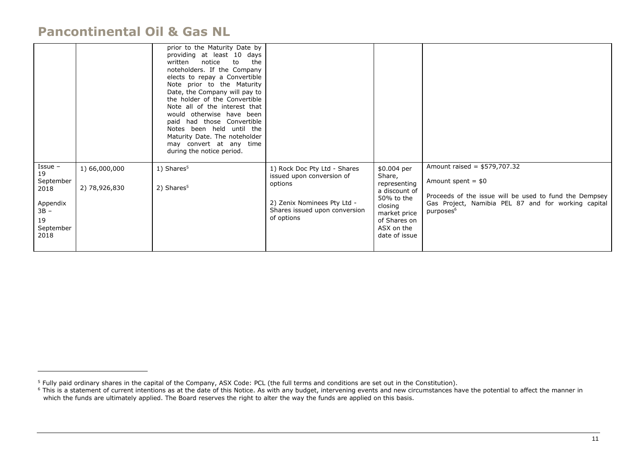# **Pancontinental Oil & Gas NL**

 $\overline{a}$ 

|                                                                                        |                                | prior to the Maturity Date by<br>providing at least 10 days<br>written<br>notice<br>to<br>the<br>noteholders. If the Company<br>elects to repay a Convertible<br>Note prior to the Maturity<br>Date, the Company will pay to<br>the holder of the Convertible<br>Note all of the interest that<br>would otherwise have been<br>paid had those Convertible<br>Notes been held until the<br>Maturity Date. The noteholder<br>may convert at any time<br>during the notice period. |                                                                                                                                                    |                                                                                                                                                |                                                                                                                                                                                                |
|----------------------------------------------------------------------------------------|--------------------------------|---------------------------------------------------------------------------------------------------------------------------------------------------------------------------------------------------------------------------------------------------------------------------------------------------------------------------------------------------------------------------------------------------------------------------------------------------------------------------------|----------------------------------------------------------------------------------------------------------------------------------------------------|------------------------------------------------------------------------------------------------------------------------------------------------|------------------------------------------------------------------------------------------------------------------------------------------------------------------------------------------------|
| $I$ ssue –<br>19<br>September<br>2018<br>Appendix<br>$3B -$<br>19<br>September<br>2018 | 1) 66,000,000<br>2) 78,926,830 | 1) Shares <sup>5</sup><br>2) Shares <sup>5</sup>                                                                                                                                                                                                                                                                                                                                                                                                                                | 1) Rock Doc Pty Ltd - Shares<br>issued upon conversion of<br>options<br>2) Zenix Nominees Pty Ltd -<br>Shares issued upon conversion<br>of options | \$0.004 per<br>Share,<br>representing<br>a discount of<br>50% to the<br>closing<br>market price<br>of Shares on<br>ASX on the<br>date of issue | Amount raised = $$579,707.32$<br>Amount spent = $$0$<br>Proceeds of the issue will be used to fund the Dempsey<br>Gas Project, Namibia PEL 87 and for working capital<br>purposes <sup>6</sup> |

 $<sup>5</sup>$  Fully paid ordinary shares in the capital of the Company, ASX Code: PCL (the full terms and conditions are set out in the Constitution).</sup>

<sup>&</sup>lt;sup>6</sup> This is a statement of current intentions as at the date of this Notice. As with any budget, intervening events and new circumstances have the potential to affect the manner in which the funds are ultimately applied. The Board reserves the right to alter the way the funds are applied on this basis.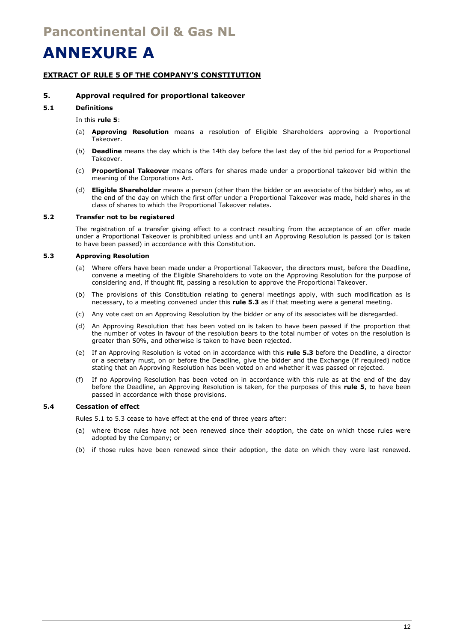# **ANNEXURE A**

### **EXTRACT OF RULE 5 OF THE COMPANY'S CONSTITUTION**

### **5. Approval required for proportional takeover**

#### **5.1 Definitions**

In this **rule 5**:

- (a) **Approving Resolution** means a resolution of Eligible Shareholders approving a Proportional Takeover.
- (b) **Deadline** means the day which is the 14th day before the last day of the bid period for a Proportional Takeover.
- (c) **Proportional Takeover** means offers for shares made under a proportional takeover bid within the meaning of the Corporations Act.
- (d) **Eligible Shareholder** means a person (other than the bidder or an associate of the bidder) who, as at the end of the day on which the first offer under a Proportional Takeover was made, held shares in the class of shares to which the Proportional Takeover relates.

#### **5.2 Transfer not to be registered**

The registration of a transfer giving effect to a contract resulting from the acceptance of an offer made under a Proportional Takeover is prohibited unless and until an Approving Resolution is passed (or is taken to have been passed) in accordance with this Constitution.

#### **5.3 Approving Resolution**

- (a) Where offers have been made under a Proportional Takeover, the directors must, before the Deadline, convene a meeting of the Eligible Shareholders to vote on the Approving Resolution for the purpose of considering and, if thought fit, passing a resolution to approve the Proportional Takeover.
- (b) The provisions of this Constitution relating to general meetings apply, with such modification as is necessary, to a meeting convened under this **rule 5.3** as if that meeting were a general meeting.
- (c) Any vote cast on an Approving Resolution by the bidder or any of its associates will be disregarded.
- (d) An Approving Resolution that has been voted on is taken to have been passed if the proportion that the number of votes in favour of the resolution bears to the total number of votes on the resolution is greater than 50%, and otherwise is taken to have been rejected.
- (e) If an Approving Resolution is voted on in accordance with this **rule 5.3** before the Deadline, a director or a secretary must, on or before the Deadline, give the bidder and the Exchange (if required) notice stating that an Approving Resolution has been voted on and whether it was passed or rejected.
- (f) If no Approving Resolution has been voted on in accordance with this rule as at the end of the day before the Deadline, an Approving Resolution is taken, for the purposes of this **rule 5**, to have been passed in accordance with those provisions.

#### **5.4 Cessation of effect**

Rules 5.1 to 5.3 cease to have effect at the end of three years after:

- (a) where those rules have not been renewed since their adoption, the date on which those rules were adopted by the Company; or
- (b) if those rules have been renewed since their adoption, the date on which they were last renewed.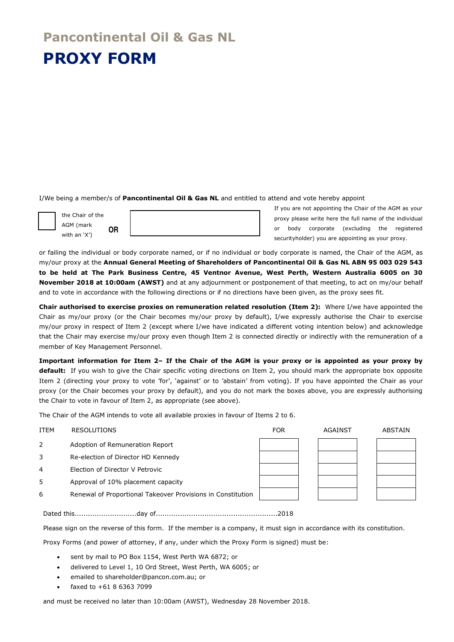# **Pancontinental Oil & Gas NL PROXY FORM**

I/We being a member/s of **Pancontinental Oil & Gas NL** and entitled to attend and vote hereby appoint

the Chair of the AGM (mark with an 'X') **OR** If you are not appointing the Chair of the AGM as your proxy please write here the full name of the individual or body corporate (excluding the registered securityholder) you are appointing as your proxy.

or failing the individual or body corporate named, or if no individual or body corporate is named, the Chair of the AGM, as my/our proxy at the **Annual General Meeting of Shareholders of Pancontinental Oil & Gas NL ABN 95 003 029 543 to be held at The Park Business Centre, 45 Ventnor Avenue, West Perth, Western Australia 6005 on 30 November 2018 at 10:00am (AWST)** and at any adjournment or postponement of that meeting, to act on my/our behalf and to vote in accordance with the following directions or if no directions have been given, as the proxy sees fit.

**Chair authorised to exercise proxies on remuneration related resolution (Item 2):** Where I/we have appointed the Chair as my/our proxy (or the Chair becomes my/our proxy by default), I/we expressly authorise the Chair to exercise my/our proxy in respect of Item 2 (except where I/we have indicated a different voting intention below) and acknowledge that the Chair may exercise my/our proxy even though Item 2 is connected directly or indirectly with the remuneration of a member of Key Management Personnel.

**Important information for Item 2– If the Chair of the AGM is your proxy or is appointed as your proxy by default:** If you wish to give the Chair specific voting directions on Item 2, you should mark the appropriate box opposite Item 2 (directing your proxy to vote 'for', 'against' or to 'abstain' from voting). If you have appointed the Chair as your proxy (or the Chair becomes your proxy by default), and you do not mark the boxes above, you are expressly authorising the Chair to vote in favour of Item 2, as appropriate (see above).

The Chair of the AGM intends to vote all available proxies in favour of Items 2 to 6.

| <b>ITEM</b> | <b>RESOLUTIONS</b>                                          | <b>FOR</b> | AGAINST | ABSTAIN |
|-------------|-------------------------------------------------------------|------------|---------|---------|
| 2           | Adoption of Remuneration Report                             |            |         |         |
| 3           | Re-election of Director HD Kennedy                          |            |         |         |
| 4           | Election of Director V Petrovic                             |            |         |         |
| 5           | Approval of 10% placement capacity                          |            |         |         |
| 6           | Renewal of Proportional Takeover Provisions in Constitution |            |         |         |

Dated this............................day of.......................................................2018

Please sign on the reverse of this form. If the member is a company, it must sign in accordance with its constitution.

Proxy Forms (and power of attorney, if any, under which the Proxy Form is signed) must be:

- sent by mail to PO Box 1154, West Perth WA 6872; or
- delivered to Level 1, 10 Ord Street, West Perth, WA 6005; or
- emailed to shareholder@pancon.com.au; or
- faxed to +61 8 6363 7099

and must be received no later than 10:00am (AWST), Wednesday 28 November 2018.